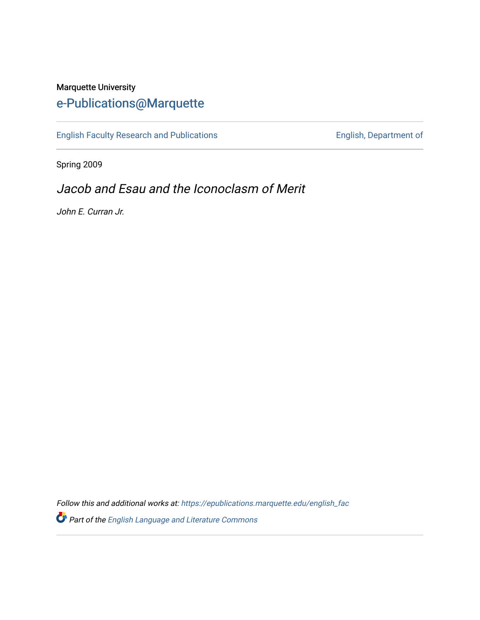# Marquette University [e-Publications@Marquette](https://epublications.marquette.edu/)

[English Faculty Research and Publications](https://epublications.marquette.edu/english_fac) **English, Department of** English, Department of

Spring 2009

Jacob and Esau and the Iconoclasm of Merit

John E. Curran Jr.

Follow this and additional works at: [https://epublications.marquette.edu/english\\_fac](https://epublications.marquette.edu/english_fac?utm_source=epublications.marquette.edu%2Fenglish_fac%2F523&utm_medium=PDF&utm_campaign=PDFCoverPages) Part of the [English Language and Literature Commons](http://network.bepress.com/hgg/discipline/455?utm_source=epublications.marquette.edu%2Fenglish_fac%2F523&utm_medium=PDF&utm_campaign=PDFCoverPages)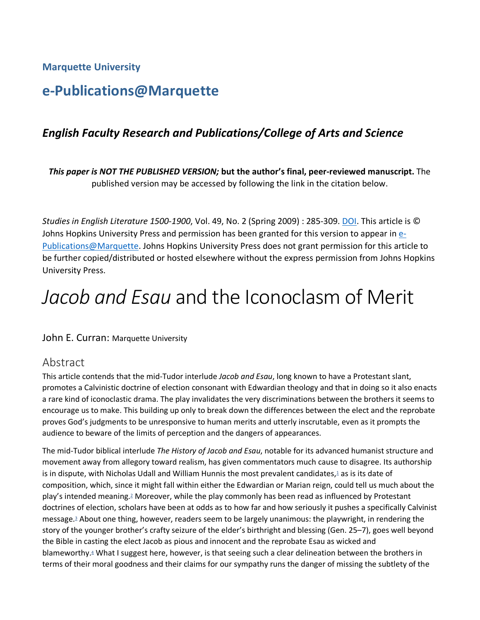**Marquette University**

# **e-Publications@Marquette**

## *English Faculty Research and Publications/College of Arts and Science*

*This paper is NOT THE PUBLISHED VERSION;* **but the author's final, peer-reviewed manuscript.** The published version may be accessed by following the link in the citation below.

*Studies in English Literature 1500-1900*, Vol. 49, No. 2 (Spring 2009) : 285-309. [DOI.](https://muse.jhu.edu/article/265903#bio_wrap) This article is © Johns Hopkins University Press and permission has been granted for this version to appear in [e-](http://epublications.marquette.edu/)[Publications@Marquette.](http://epublications.marquette.edu/) Johns Hopkins University Press does not grant permission for this article to be further copied/distributed or hosted elsewhere without the express permission from Johns Hopkins University Press.

# *Jacob and Esau* and the Iconoclasm of Merit

John E. Curran: Marquette University

### Abstract

This article contends that the mid-Tudor interlude *Jacob and Esau*, long known to have a Protestant slant, promotes a Calvinistic doctrine of election consonant with Edwardian theology and that in doing so it also enacts a rare kind of iconoclastic drama. The play invalidates the very discriminations between the brothers it seems to encourage us to make. This building up only to break down the differences between the elect and the reprobate proves God's judgments to be unresponsive to human merits and utterly inscrutable, even as it prompts the audience to beware of the limits of perception and the dangers of appearances.

The mid-Tudor biblical interlude *The History of Jacob and Esau*, notable for its advanced humanist structure and movement away from allegory toward realism, has given commentators much cause to disagree. Its authorship is in dispute, with Nicholas Udall and William Hunnis the most prevalent candidates,<sup>1</sup> as is its date of composition, which, since it might fall within either the Edwardian or Marian reign, could tell us much about the play's intended meaning[.2](https://muse.jhu.edu/article/265903#f2) Moreover, while the play commonly has been read as influenced by Protestant doctrines of election, scholars have been at odds as to how far and how seriously it pushes a specifically Calvinist messag[e.3](https://muse.jhu.edu/article/265903#f3) About one thing, however, readers seem to be largely unanimous: the playwright, in rendering the story of the younger brother's crafty seizure of the elder's birthright and blessing (Gen. 25–7), goes well beyond the Bible in casting the elect Jacob as pious and innocent and the reprobate Esau as wicked and blameworthy[.4](https://muse.jhu.edu/article/265903#f4) What I suggest here, however, is that seeing such a clear delineation between the brothers in terms of their moral goodness and their claims for our sympathy runs the danger of missing the subtlety of the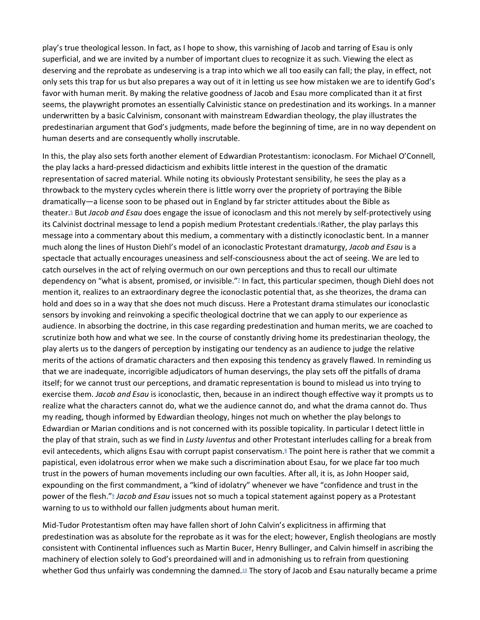play's true theological lesson. In fact, as I hope to show, this varnishing of Jacob and tarring of Esau is only superficial, and we are invited by a number of important clues to recognize it as such. Viewing the elect as deserving and the reprobate as undeserving is a trap into which we all too easily can fall; the play, in effect, not only sets this trap for us but also prepares a way out of it in letting us see how mistaken we are to identify God's favor with human merit. By making the relative goodness of Jacob and Esau more complicated than it at first seems, the playwright promotes an essentially Calvinistic stance on predestination and its workings. In a manner underwritten by a basic Calvinism, consonant with mainstream Edwardian theology, the play illustrates the predestinarian argument that God's judgments, made before the beginning of time, are in no way dependent on human deserts and are consequently wholly inscrutable.

In this, the play also sets forth another element of Edwardian Protestantism: iconoclasm. For Michael O'Connell, the play lacks a hard-pressed didacticism and exhibits little interest in the question of the dramatic representation of sacred material. While noting its obviously Protestant sensibility, he sees the play as a throwback to the mystery cycles wherein there is little worry over the propriety of portraying the Bible dramatically—a license soon to be phased out in England by far stricter attitudes about the Bible as theater[.5](https://muse.jhu.edu/article/265903#f5) But *Jacob and Esau* does engage the issue of iconoclasm and this not merely by self-protectively using its Calvinist doctrinal message to lend a popish medium Protestant credentials[.6R](https://muse.jhu.edu/article/265903#f6)ather, the play parlays this message into a commentary about this medium, a commentary with a distinctly iconoclastic bent. In a manner much along the lines of Huston Diehl's model of an iconoclastic Protestant dramaturgy, *Jacob and Esau* is a spectacle that actually encourages uneasiness and self-consciousness about the act of seeing. We are led to catch ourselves in the act of relying overmuch on our own perceptions and thus to recall our ultimate dependency on "what is absent, promised, or invisible.["7](https://muse.jhu.edu/article/265903#f7) In fact, this particular specimen, though Diehl does not mention it, realizes to an extraordinary degree the iconoclastic potential that, as she theorizes, the drama can hold and does so in a way that she does not much discuss. Here a Protestant drama stimulates our iconoclastic sensors by invoking and reinvoking a specific theological doctrine that we can apply to our experience as audience. In absorbing the doctrine, in this case regarding predestination and human merits, we are coached to scrutinize both how and what we see. In the course of constantly driving home its predestinarian theology, the play alerts us to the dangers of perception by instigating our tendency as an audience to judge the relative merits of the actions of dramatic characters and then exposing this tendency as gravely flawed. In reminding us that we are inadequate, incorrigible adjudicators of human deservings, the play sets off the pitfalls of drama itself; for we cannot trust our perceptions, and dramatic representation is bound to mislead us into trying to exercise them. *Jacob and Esau* is iconoclastic, then, because in an indirect though effective way it prompts us to realize what the characters cannot do, what we the audience cannot do, and what the drama cannot do. Thus my reading, though informed by Edwardian theology, hinges not much on whether the play belongs to Edwardian or Marian conditions and is not concerned with its possible topicality. In particular I detect little in the play of that strain, such as we find in *Lusty Iuventus* and other Protestant interludes calling for a break from evil antecedents, which aligns Esau with corrupt papist conservatism.<sup>8</sup> The point here is rather that we commit a papistical, even idolatrous error when we make such a discrimination about Esau, for we place far too much trust in the powers of human movements including our own faculties. After all, it is, as John Hooper said, expounding on the first commandment, a "kind of idolatry" whenever we have "confidence and trust in the power of the flesh.["9](https://muse.jhu.edu/article/265903#f9) *Jacob and Esau* issues not so much a topical statement against popery as a Protestant warning to us to withhold our fallen judgments about human merit.

Mid-Tudor Protestantism often may have fallen short of John Calvin's explicitness in affirming that predestination was as absolute for the reprobate as it was for the elect; however, English theologians are mostly consistent with Continental influences such as Martin Bucer, Henry Bullinger, and Calvin himself in ascribing the machinery of election solely to God's preordained will and in admonishing us to refrain from questioning whether God thus unfairly was condemning the damned.<sup>10</sup> The story of Jacob and Esau naturally became a prime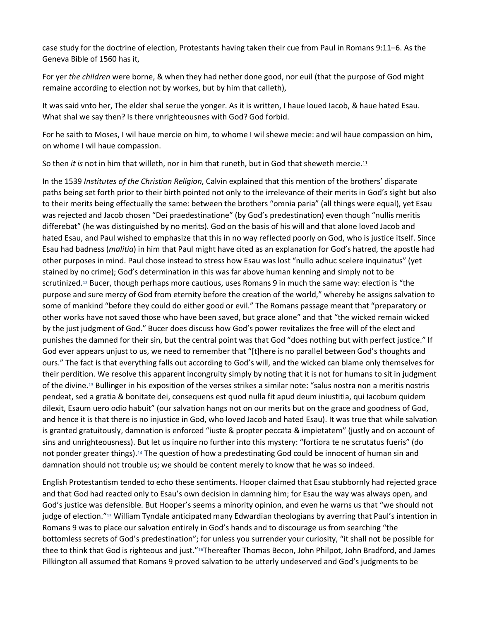case study for the doctrine of election, Protestants having taken their cue from Paul in Romans 9:11–6. As the Geneva Bible of 1560 has it,

For yer *the children* were borne, & when they had nether done good, nor euil (that the purpose of God might remaine according to election not by workes, but by him that calleth),

It was said vnto her, The elder shal serue the yonger. As it is written, I haue loued Iacob, & haue hated Esau. What shal we say then? Is there vnrighteousnes with God? God forbid.

For he saith to Moses, I wil haue mercie on him, to whome I wil shewe mecie: and wil haue compassion on him, on whome I wil haue compassion.

So then *it is* not in him that willeth, nor in him that runeth, but in God that sheweth mercie.<sup>11</sup>

In the 1539 *Institutes of the Christian Religion*, Calvin explained that this mention of the brothers' disparate paths being set forth prior to their birth pointed not only to the irrelevance of their merits in God's sight but also to their merits being effectually the same: between the brothers "omnia paria" (all things were equal), yet Esau was rejected and Jacob chosen "Dei praedestinatione" (by God's predestination) even though "nullis meritis differebat" (he was distinguished by no merits). God on the basis of his will and that alone loved Jacob and hated Esau, and Paul wished to emphasize that this in no way reflected poorly on God, who is justice itself. Since Esau had badness (*malitia*) in him that Paul might have cited as an explanation for God's hatred, the apostle had other purposes in mind. Paul chose instead to stress how Esau was lost "nullo adhuc scelere inquinatus" (yet stained by no crime); God's determination in this was far above human kenning and simply not to be scrutinized[.12](https://muse.jhu.edu/article/265903#f12) Bucer, though perhaps more cautious, uses Romans 9 in much the same way: election is "the purpose and sure mercy of God from eternity before the creation of the world," whereby he assigns salvation to some of mankind "before they could do either good or evil." The Romans passage meant that "preparatory or other works have not saved those who have been saved, but grace alone" and that "the wicked remain wicked by the just judgment of God." Bucer does discuss how God's power revitalizes the free will of the elect and punishes the damned for their sin, but the central point was that God "does nothing but with perfect justice." If God ever appears unjust to us, we need to remember that "[t]here is no parallel between God's thoughts and ours." The fact is that everything falls out according to God's will, and the wicked can blame only themselves for their perdition. We resolve this apparent incongruity simply by noting that it is not for humans to sit in judgment of the divine[.13](https://muse.jhu.edu/article/265903#f13) Bullinger in his exposition of the verses strikes a similar note: "salus nostra non a meritis nostris pendeat, sed a gratia & bonitate dei, consequens est quod nulla fit apud deum iniustitia, qui Iacobum quidem dilexit, Esaum uero odio habuit" (our salvation hangs not on our merits but on the grace and goodness of God, and hence it is that there is no injustice in God, who loved Jacob and hated Esau). It was true that while salvation is granted gratuitously, damnation is enforced "iuste & propter peccata & impietatem" (justly and on account of sins and unrighteousness). But let us inquire no further into this mystery: "fortiora te ne scrutatus fueris" (do not ponder greater things).<sup>14</sup> The question of how a predestinating God could be innocent of human sin and damnation should not trouble us; we should be content merely to know that he was so indeed.

English Protestantism tended to echo these sentiments. Hooper claimed that Esau stubbornly had rejected grace and that God had reacted only to Esau's own decision in damning him; for Esau the way was always open, and God's justice was defensible. But Hooper's seems a minority opinion, and even he warns us that "we should not judge of election.["15](https://muse.jhu.edu/article/265903#f15) William Tyndale anticipated many Edwardian theologians by averring that Paul's intention in Romans 9 was to place our salvation entirely in God's hands and to discourage us from searching "the bottomless secrets of God's predestination"; for unless you surrender your curiosity, "it shall not be possible for thee to think that God is righteous and just."<sup>16</sup>Thereafter Thomas Becon, John Philpot, John Bradford, and James Pilkington all assumed that Romans 9 proved salvation to be utterly undeserved and God's judgments to be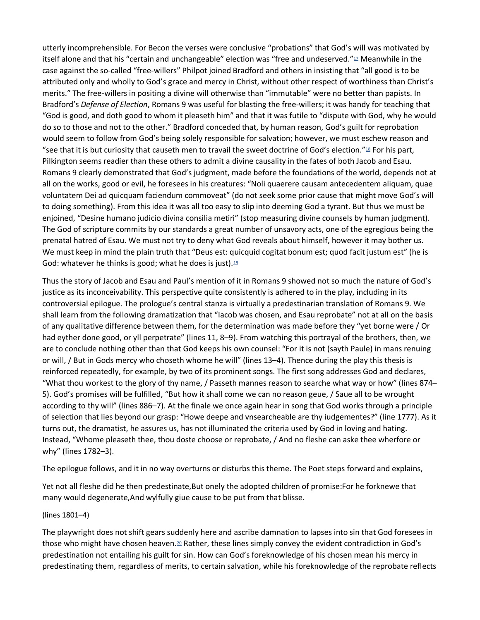utterly incomprehensible. For Becon the verses were conclusive "probations" that God's will was motivated by itself alone and that his "certain and unchangeable" election was "free and undeserved." $\mathbb{Z}$  Meanwhile in the case against the so-called "free-willers" Philpot joined Bradford and others in insisting that "all good is to be attributed only and wholly to God's grace and mercy in Christ, without other respect of worthiness than Christ's merits." The free-willers in positing a divine will otherwise than "immutable" were no better than papists. In Bradford's *Defense of Election*, Romans 9 was useful for blasting the free-willers; it was handy for teaching that "God is good, and doth good to whom it pleaseth him" and that it was futile to "dispute with God, why he would do so to those and not to the other." Bradford conceded that, by human reason, God's guilt for reprobation would seem to follow from God's being solely responsible for salvation; however, we must eschew reason and "see that it is but curiosity that causeth men to travail the sweet doctrine of God's election." $18$  For his part, Pilkington seems readier than these others to admit a divine causality in the fates of both Jacob and Esau. Romans 9 clearly demonstrated that God's judgment, made before the foundations of the world, depends not at all on the works, good or evil, he foresees in his creatures: "Noli quaerere causam antecedentem aliquam, quae voluntatem Dei ad quicquam faciendum commoveat" (do not seek some prior cause that might move God's will to doing something). From this idea it was all too easy to slip into deeming God a tyrant. But thus we must be enjoined, "Desine humano judicio divina consilia metiri" (stop measuring divine counsels by human judgment). The God of scripture commits by our standards a great number of unsavory acts, one of the egregious being the prenatal hatred of Esau. We must not try to deny what God reveals about himself, however it may bother us. We must keep in mind the plain truth that "Deus est: quicquid cogitat bonum est; quod facit justum est" (he is God: whatever he thinks is good; what he does is just).<sup>19</sup>

Thus the story of Jacob and Esau and Paul's mention of it in Romans 9 showed not so much the nature of God's justice as its inconceivability. This perspective quite consistently is adhered to in the play, including in its controversial epilogue. The prologue's central stanza is virtually a predestinarian translation of Romans 9. We shall learn from the following dramatization that "Iacob was chosen, and Esau reprobate" not at all on the basis of any qualitative difference between them, for the determination was made before they "yet borne were / Or had eyther done good, or yll perpetrate" (lines 11, 8–9). From watching this portrayal of the brothers, then, we are to conclude nothing other than that God keeps his own counsel: "For it is not (sayth Paule) in mans renuing or will, / But in Gods mercy who choseth whome he will" (lines 13–4). Thence during the play this thesis is reinforced repeatedly, for example, by two of its prominent songs. The first song addresses God and declares, "What thou workest to the glory of thy name, / Passeth mannes reason to searche what way or how" (lines 874– 5). God's promises will be fulfilled, "But how it shall come we can no reason geue, / Saue all to be wrought according to thy will" (lines 886–7). At the finale we once again hear in song that God works through a principle of selection that lies beyond our grasp: "Howe deepe and vnsearcheable are thy iudgementes?" (line 1777). As it turns out, the dramatist, he assures us, has not illuminated the criteria used by God in loving and hating. Instead, "Whome pleaseth thee, thou doste choose or reprobate, / And no fleshe can aske thee wherfore or why" (lines 1782–3).

The epilogue follows, and it in no way overturns or disturbs this theme. The Poet steps forward and explains,

Yet not all fleshe did he then predestinate,But onely the adopted children of promise:For he forknewe that many would degenerate,And wylfully giue cause to be put from that blisse.

#### (lines 1801–4)

The playwright does not shift gears suddenly here and ascribe damnation to lapses into sin that God foresees in those who might have chosen heaven.<sup>20</sup> Rather, these lines simply convey the evident contradiction in God's predestination not entailing his guilt for sin. How can God's foreknowledge of his chosen mean his mercy in predestinating them, regardless of merits, to certain salvation, while his foreknowledge of the reprobate reflects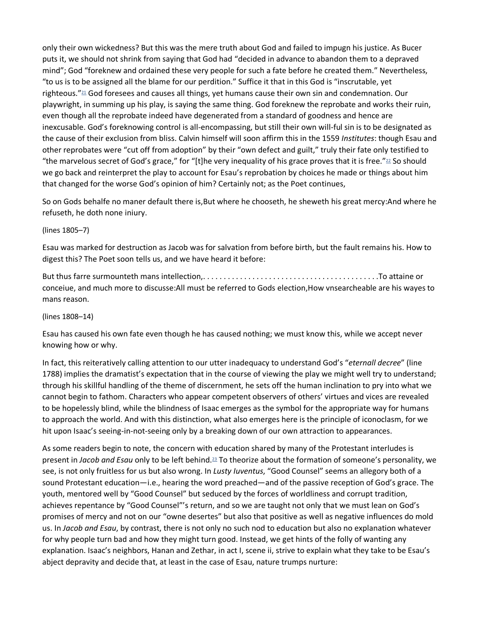only their own wickedness? But this was the mere truth about God and failed to impugn his justice. As Bucer puts it, we should not shrink from saying that God had "decided in advance to abandon them to a depraved mind"; God "foreknew and ordained these very people for such a fate before he created them." Nevertheless, "to us is to be assigned all the blame for our perdition." Suffice it that in this God is "inscrutable, yet righteous.["21](https://muse.jhu.edu/article/265903#f21) God foresees and causes all things, yet humans cause their own sin and condemnation. Our playwright, in summing up his play, is saying the same thing. God foreknew the reprobate and works their ruin, even though all the reprobate indeed have degenerated from a standard of goodness and hence are inexcusable. God's foreknowing control is all-encompassing, but still their own will-ful sin is to be designated as the cause of their exclusion from bliss. Calvin himself will soon affirm this in the 1559 *Institutes*: though Esau and other reprobates were "cut off from adoption" by their "own defect and guilt," truly their fate only testified to "the marvelous secret of God's grace," for "[t]he very inequality of his grace proves that it is free." $22$  So should we go back and reinterpret the play to account for Esau's reprobation by choices he made or things about him that changed for the worse God's opinion of him? Certainly not; as the Poet continues,

So on Gods behalfe no maner default there is,But where he chooseth, he sheweth his great mercy:And where he refuseth, he doth none iniury.

(lines 1805–7)

Esau was marked for destruction as Jacob was for salvation from before birth, but the fault remains his. How to digest this? The Poet soon tells us, and we have heard it before:

But thus farre surmounteth mans intellection,. . . . . . . . . . . . . . . . . . . . . . . . . . . . . . . . . . . . . . . . . . .To attaine or conceiue, and much more to discusse:All must be referred to Gods election,How vnsearcheable are his wayes to mans reason.

(lines 1808–14)

Esau has caused his own fate even though he has caused nothing; we must know this, while we accept never knowing how or why.

In fact, this reiteratively calling attention to our utter inadequacy to understand God's "*eternall decree*" (line 1788) implies the dramatist's expectation that in the course of viewing the play we might well try to understand; through his skillful handling of the theme of discernment, he sets off the human inclination to pry into what we cannot begin to fathom. Characters who appear competent observers of others' virtues and vices are revealed to be hopelessly blind, while the blindness of Isaac emerges as the symbol for the appropriate way for humans to approach the world. And with this distinction, what also emerges here is the principle of iconoclasm, for we hit upon Isaac's seeing-in-not-seeing only by a breaking down of our own attraction to appearances.

As some readers begin to note, the concern with education shared by many of the Protestant interludes is present in *Jacob and Esau* only to be left behind[.23](https://muse.jhu.edu/article/265903#f23) To theorize about the formation of someone's personality, we see, is not only fruitless for us but also wrong. In *Lusty Iuventus*, "Good Counsel" seems an allegory both of a sound Protestant education—i.e., hearing the word preached—and of the passive reception of God's grace. The youth, mentored well by "Good Counsel" but seduced by the forces of worldliness and corrupt tradition, achieves repentance by "Good Counsel"'s return, and so we are taught not only that we must lean on God's promises of mercy and not on our "owne desertes" but also that positive as well as negative influences do mold us. In *Jacob and Esau*, by contrast, there is not only no such nod to education but also no explanation whatever for why people turn bad and how they might turn good. Instead, we get hints of the folly of wanting any explanation. Isaac's neighbors, Hanan and Zethar, in act I, scene ii, strive to explain what they take to be Esau's abject depravity and decide that, at least in the case of Esau, nature trumps nurture: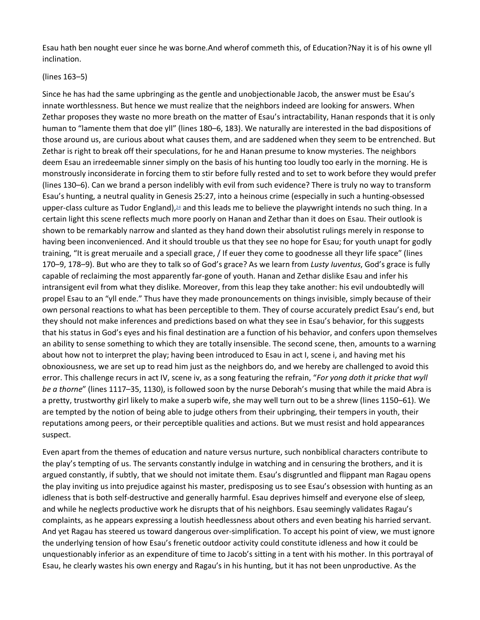Esau hath ben nought euer since he was borne.And wherof commeth this, of Education?Nay it is of his owne yll inclination.

#### (lines 163–5)

Since he has had the same upbringing as the gentle and unobjectionable Jacob, the answer must be Esau's innate worthlessness. But hence we must realize that the neighbors indeed are looking for answers. When Zethar proposes they waste no more breath on the matter of Esau's intractability, Hanan responds that it is only human to "lamente them that doe yll" (lines 180–6, 183). We naturally are interested in the bad dispositions of those around us, are curious about what causes them, and are saddened when they seem to be entrenched. But Zethar is right to break off their speculations, for he and Hanan presume to know mysteries. The neighbors deem Esau an irredeemable sinner simply on the basis of his hunting too loudly too early in the morning. He is monstrously inconsiderate in forcing them to stir before fully rested and to set to work before they would prefer (lines 130–6). Can we brand a person indelibly with evil from such evidence? There is truly no way to transform Esau's hunting, a neutral quality in Genesis 25:27, into a heinous crime (especially in such a hunting-obsessed upper-class culture as Tudor England), $24$  and this leads me to believe the playwright intends no such thing. In a certain light this scene reflects much more poorly on Hanan and Zethar than it does on Esau. Their outlook is shown to be remarkably narrow and slanted as they hand down their absolutist rulings merely in response to having been inconvenienced. And it should trouble us that they see no hope for Esau; for youth unapt for godly training, "It is great meruaile and a speciall grace, / If euer they come to goodnesse all theyr life space" (lines 170–9, 178–9). But who are they to talk so of God's grace? As we learn from *Lusty Iuventus*, God's grace is fully capable of reclaiming the most apparently far-gone of youth. Hanan and Zethar dislike Esau and infer his intransigent evil from what they dislike. Moreover, from this leap they take another: his evil undoubtedly will propel Esau to an "yll ende." Thus have they made pronouncements on things invisible, simply because of their own personal reactions to what has been perceptible to them. They of course accurately predict Esau's end, but they should not make inferences and predictions based on what they see in Esau's behavior, for this suggests that his status in God's eyes and his final destination are a function of his behavior, and confers upon themselves an ability to sense something to which they are totally insensible. The second scene, then, amounts to a warning about how not to interpret the play; having been introduced to Esau in act I, scene i, and having met his obnoxiousness, we are set up to read him just as the neighbors do, and we hereby are challenged to avoid this error. This challenge recurs in act IV, scene iv, as a song featuring the refrain, "*For yong doth it pricke that wyll be a thorne*" (lines 1117–35, 1130), is followed soon by the nurse Deborah's musing that while the maid Abra is a pretty, trustworthy girl likely to make a superb wife, she may well turn out to be a shrew (lines 1150–61). We are tempted by the notion of being able to judge others from their upbringing, their tempers in youth, their reputations among peers, or their perceptible qualities and actions. But we must resist and hold appearances suspect.

Even apart from the themes of education and nature versus nurture, such nonbiblical characters contribute to the play's tempting of us. The servants constantly indulge in watching and in censuring the brothers, and it is argued constantly, if subtly, that we should not imitate them. Esau's disgruntled and flippant man Ragau opens the play inviting us into prejudice against his master, predisposing us to see Esau's obsession with hunting as an idleness that is both self-destructive and generally harmful. Esau deprives himself and everyone else of sleep, and while he neglects productive work he disrupts that of his neighbors. Esau seemingly validates Ragau's complaints, as he appears expressing a loutish heedlessness about others and even beating his harried servant. And yet Ragau has steered us toward dangerous over-simplification. To accept his point of view, we must ignore the underlying tension of how Esau's frenetic outdoor activity could constitute idleness and how it could be unquestionably inferior as an expenditure of time to Jacob's sitting in a tent with his mother. In this portrayal of Esau, he clearly wastes his own energy and Ragau's in his hunting, but it has not been unproductive. As the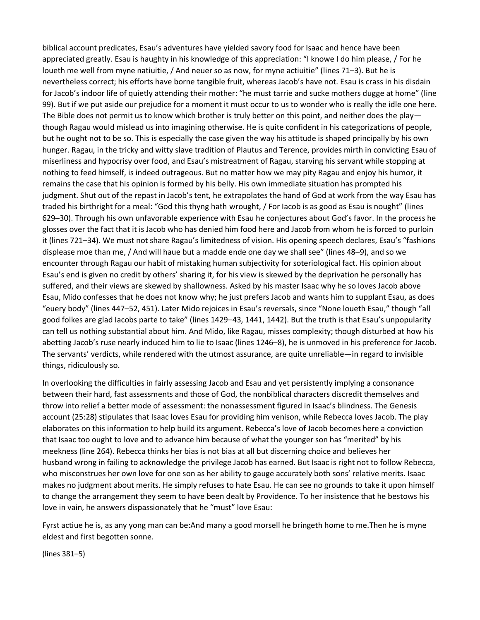biblical account predicates, Esau's adventures have yielded savory food for Isaac and hence have been appreciated greatly. Esau is haughty in his knowledge of this appreciation: "I knowe I do him please, / For he loueth me well from myne natiuitie, / And neuer so as now, for myne actiuitie" (lines 71–3). But he is nevertheless correct; his efforts have borne tangible fruit, whereas Jacob's have not. Esau is crass in his disdain for Jacob's indoor life of quietly attending their mother: "he must tarrie and sucke mothers dugge at home" (line 99). But if we put aside our prejudice for a moment it must occur to us to wonder who is really the idle one here. The Bible does not permit us to know which brother is truly better on this point, and neither does the play though Ragau would mislead us into imagining otherwise. He is quite confident in his categorizations of people, but he ought not to be so. This is especially the case given the way his attitude is shaped principally by his own hunger. Ragau, in the tricky and witty slave tradition of Plautus and Terence, provides mirth in convicting Esau of miserliness and hypocrisy over food, and Esau's mistreatment of Ragau, starving his servant while stopping at nothing to feed himself, is indeed outrageous. But no matter how we may pity Ragau and enjoy his humor, it remains the case that his opinion is formed by his belly. His own immediate situation has prompted his judgment. Shut out of the repast in Jacob's tent, he extrapolates the hand of God at work from the way Esau has traded his birthright for a meal: "God this thyng hath wrought, / For Iacob is as good as Esau is nought" (lines 629–30). Through his own unfavorable experience with Esau he conjectures about God's favor. In the process he glosses over the fact that it is Jacob who has denied him food here and Jacob from whom he is forced to purloin it (lines 721–34). We must not share Ragau's limitedness of vision. His opening speech declares, Esau's "fashions displease moe than me, / And will haue but a madde ende one day we shall see" (lines 48–9), and so we encounter through Ragau our habit of mistaking human subjectivity for soteriological fact. His opinion about Esau's end is given no credit by others' sharing it, for his view is skewed by the deprivation he personally has suffered, and their views are skewed by shallowness. Asked by his master Isaac why he so loves Jacob above Esau, Mido confesses that he does not know why; he just prefers Jacob and wants him to supplant Esau, as does "euery body" (lines 447–52, 451). Later Mido rejoices in Esau's reversals, since "None loueth Esau," though "all good folkes are glad Iacobs parte to take" (lines 1429–43, 1441, 1442). But the truth is that Esau's unpopularity can tell us nothing substantial about him. And Mido, like Ragau, misses complexity; though disturbed at how his abetting Jacob's ruse nearly induced him to lie to Isaac (lines 1246–8), he is unmoved in his preference for Jacob. The servants' verdicts, while rendered with the utmost assurance, are quite unreliable—in regard to invisible things, ridiculously so.

In overlooking the difficulties in fairly assessing Jacob and Esau and yet persistently implying a consonance between their hard, fast assessments and those of God, the nonbiblical characters discredit themselves and throw into relief a better mode of assessment: the nonassessment figured in Isaac's blindness. The Genesis account (25:28) stipulates that Isaac loves Esau for providing him venison, while Rebecca loves Jacob. The play elaborates on this information to help build its argument. Rebecca's love of Jacob becomes here a conviction that Isaac too ought to love and to advance him because of what the younger son has "merited" by his meekness (line 264). Rebecca thinks her bias is not bias at all but discerning choice and believes her husband wrong in failing to acknowledge the privilege Jacob has earned. But Isaac is right not to follow Rebecca, who misconstrues her own love for one son as her ability to gauge accurately both sons' relative merits. Isaac makes no judgment about merits. He simply refuses to hate Esau. He can see no grounds to take it upon himself to change the arrangement they seem to have been dealt by Providence. To her insistence that he bestows his love in vain, he answers dispassionately that he "must" love Esau:

Fyrst actiue he is, as any yong man can be:And many a good morsell he bringeth home to me.Then he is myne eldest and first begotten sonne.

(lines 381–5)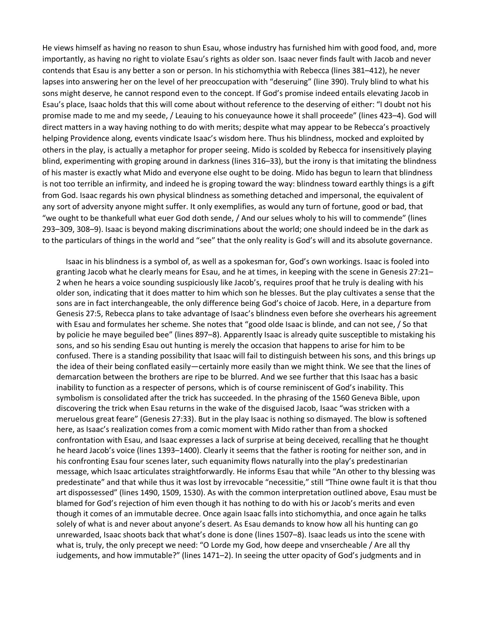He views himself as having no reason to shun Esau, whose industry has furnished him with good food, and, more importantly, as having no right to violate Esau's rights as older son. Isaac never finds fault with Jacob and never contends that Esau is any better a son or person. In his stichomythia with Rebecca (lines 381–412), he never lapses into answering her on the level of her preoccupation with "deseruing" (line 390). Truly blind to what his sons might deserve, he cannot respond even to the concept. If God's promise indeed entails elevating Jacob in Esau's place, Isaac holds that this will come about without reference to the deserving of either: "I doubt not his promise made to me and my seede, / Leauing to his conueyaunce howe it shall proceede" (lines 423–4). God will direct matters in a way having nothing to do with merits; despite what may appear to be Rebecca's proactively helping Providence along, events vindicate Isaac's wisdom here. Thus his blindness, mocked and exploited by others in the play, is actually a metaphor for proper seeing. Mido is scolded by Rebecca for insensitively playing blind, experimenting with groping around in darkness (lines 316–33), but the irony is that imitating the blindness of his master is exactly what Mido and everyone else ought to be doing. Mido has begun to learn that blindness is not too terrible an infirmity, and indeed he is groping toward the way: blindness toward earthly things is a gift from God. Isaac regards his own physical blindness as something detached and impersonal, the equivalent of any sort of adversity anyone might suffer. It only exemplifies, as would any turn of fortune, good or bad, that "we ought to be thankefull what euer God doth sende, / And our selues wholy to his will to commende" (lines 293–309, 308–9). Isaac is beyond making discriminations about the world; one should indeed be in the dark as to the particulars of things in the world and "see" that the only reality is God's will and its absolute governance.

Isaac in his blindness is a symbol of, as well as a spokesman for, God's own workings. Isaac is fooled into granting Jacob what he clearly means for Esau, and he at times, in keeping with the scene in Genesis 27:21– 2 when he hears a voice sounding suspiciously like Jacob's, requires proof that he truly is dealing with his older son, indicating that it does matter to him which son he blesses. But the play cultivates a sense that the sons are in fact interchangeable, the only difference being God's choice of Jacob. Here, in a departure from Genesis 27:5, Rebecca plans to take advantage of Isaac's blindness even before she overhears his agreement with Esau and formulates her scheme. She notes that "good olde Isaac is blinde, and can not see, / So that by policie he maye beguiled bee" (lines 897–8). Apparently Isaac is already quite susceptible to mistaking his sons, and so his sending Esau out hunting is merely the occasion that happens to arise for him to be confused. There is a standing possibility that Isaac will fail to distinguish between his sons, and this brings up the idea of their being conflated easily—certainly more easily than we might think. We see that the lines of demarcation between the brothers are ripe to be blurred. And we see further that this Isaac has a basic inability to function as a respecter of persons, which is of course reminiscent of God's inability. This symbolism is consolidated after the trick has succeeded. In the phrasing of the 1560 Geneva Bible, upon discovering the trick when Esau returns in the wake of the disguised Jacob, Isaac "was stricken with a meruelous great feare" (Genesis 27:33). But in the play Isaac is nothing so dismayed. The blow is softened here, as Isaac's realization comes from a comic moment with Mido rather than from a shocked confrontation with Esau, and Isaac expresses a lack of surprise at being deceived, recalling that he thought he heard Jacob's voice (lines 1393–1400). Clearly it seems that the father is rooting for neither son, and in his confronting Esau four scenes later, such equanimity flows naturally into the play's predestinarian message, which Isaac articulates straightforwardly. He informs Esau that while "An other to thy blessing was predestinate" and that while thus it was lost by irrevocable "necessitie," still "Thine owne fault it is that thou art dispossessed" (lines 1490, 1509, 1530). As with the common interpretation outlined above, Esau must be blamed for God's rejection of him even though it has nothing to do with his or Jacob's merits and even though it comes of an immutable decree. Once again Isaac falls into stichomythia, and once again he talks solely of what is and never about anyone's desert. As Esau demands to know how all his hunting can go unrewarded, Isaac shoots back that what's done is done (lines 1507–8). Isaac leads us into the scene with what is, truly, the only precept we need: "O Lorde my God, how deepe and vnsercheable / Are all thy iudgements, and how immutable?" (lines 1471–2). In seeing the utter opacity of God's judgments and in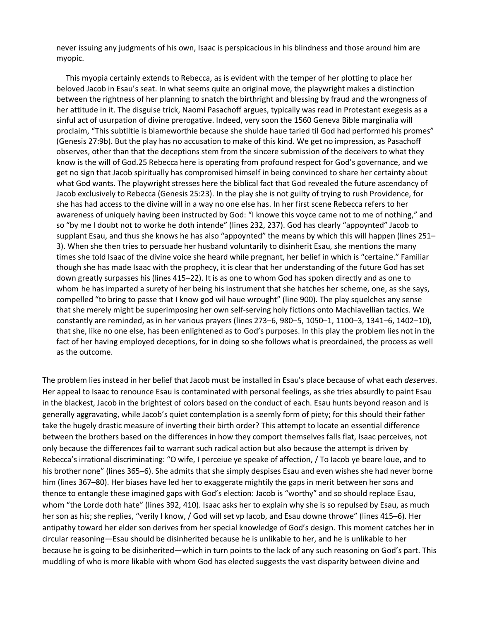never issuing any judgments of his own, Isaac is perspicacious in his blindness and those around him are myopic.

This myopia certainly extends to Rebecca, as is evident with the temper of her plotting to place her beloved Jacob in Esau's seat. In what seems quite an original move, the playwright makes a distinction between the rightness of her planning to snatch the birthright and blessing by fraud and the wrongness of her attitude in it. The disguise trick, Naomi Pasachoff argues, typically was read in Protestant exegesis as a sinful act of usurpation of divine prerogative. Indeed, very soon the 1560 Geneva Bible marginalia will proclaim, "This subtiltie is blameworthie because she shulde haue taried til God had performed his promes" (Genesis 27:9b). But the play has no accusation to make of this kind. We get no impression, as Pasachoff observes, other than that the deceptions stem from the sincere submission of the deceivers to what they know is the will of God[.25](https://muse.jhu.edu/article/265903#f25) Rebecca here is operating from profound respect for God's governance, and we get no sign that Jacob spiritually has compromised himself in being convinced to share her certainty about what God wants. The playwright stresses here the biblical fact that God revealed the future ascendancy of Jacob exclusively to Rebecca (Genesis 25:23). In the play she is not guilty of trying to rush Providence, for she has had access to the divine will in a way no one else has. In her first scene Rebecca refers to her awareness of uniquely having been instructed by God: "I knowe this voyce came not to me of nothing," and so "by me I doubt not to worke he doth intende" (lines 232, 237). God has clearly "appoynted" Jacob to supplant Esau, and thus she knows he has also "appoynted" the means by which this will happen (lines 251– 3). When she then tries to persuade her husband voluntarily to disinherit Esau, she mentions the many times she told Isaac of the divine voice she heard while pregnant, her belief in which is "certaine." Familiar though she has made Isaac with the prophecy, it is clear that her understanding of the future God has set down greatly surpasses his (lines 415–22). It is as one to whom God has spoken directly and as one to whom he has imparted a surety of her being his instrument that she hatches her scheme, one, as she says, compelled "to bring to passe that I know god wil haue wrought" (line 900). The play squelches any sense that she merely might be superimposing her own self-serving holy fictions onto Machiavellian tactics. We constantly are reminded, as in her various prayers (lines 273–6, 980–5, 1050–1, 1100–3, 1341–6, 1402–10), that she, like no one else, has been enlightened as to God's purposes. In this play the problem lies not in the fact of her having employed deceptions, for in doing so she follows what is preordained, the process as well as the outcome.

The problem lies instead in her belief that Jacob must be installed in Esau's place because of what each *deserves*. Her appeal to Isaac to renounce Esau is contaminated with personal feelings, as she tries absurdly to paint Esau in the blackest, Jacob in the brightest of colors based on the conduct of each. Esau hunts beyond reason and is generally aggravating, while Jacob's quiet contemplation is a seemly form of piety; for this should their father take the hugely drastic measure of inverting their birth order? This attempt to locate an essential difference between the brothers based on the differences in how they comport themselves falls flat, Isaac perceives, not only because the differences fail to warrant such radical action but also because the attempt is driven by Rebecca's irrational discriminating: "O wife, I perceiue ye speake of affection, / To Iacob ye beare loue, and to his brother none" (lines 365–6). She admits that she simply despises Esau and even wishes she had never borne him (lines 367–80). Her biases have led her to exaggerate mightily the gaps in merit between her sons and thence to entangle these imagined gaps with God's election: Jacob is "worthy" and so should replace Esau, whom "the Lorde doth hate" (lines 392, 410). Isaac asks her to explain why she is so repulsed by Esau, as much her son as his; she replies, "verily I know, / God will set vp Iacob, and Esau downe throwe" (lines 415–6). Her antipathy toward her elder son derives from her special knowledge of God's design. This moment catches her in circular reasoning—Esau should be disinherited because he is unlikable to her, and he is unlikable to her because he is going to be disinherited—which in turn points to the lack of any such reasoning on God's part. This muddling of who is more likable with whom God has elected suggests the vast disparity between divine and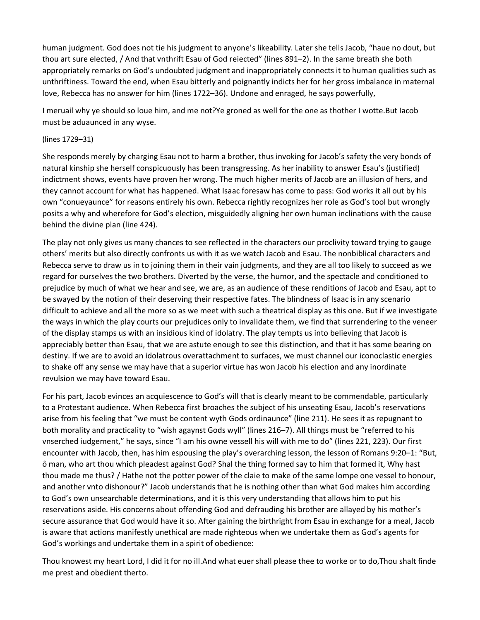human judgment. God does not tie his judgment to anyone's likeability. Later she tells Jacob, "haue no dout, but thou art sure elected, / And that vnthrift Esau of God reiected" (lines 891–2). In the same breath she both appropriately remarks on God's undoubted judgment and inappropriately connects it to human qualities such as unthriftiness. Toward the end, when Esau bitterly and poignantly indicts her for her gross imbalance in maternal love, Rebecca has no answer for him (lines 1722–36). Undone and enraged, he says powerfully,

I meruail why ye should so loue him, and me not?Ye groned as well for the one as thother I wotte.But Iacob must be aduaunced in any wyse.

#### (lines 1729–31)

She responds merely by charging Esau not to harm a brother, thus invoking for Jacob's safety the very bonds of natural kinship she herself conspicuously has been transgressing. As her inability to answer Esau's (justified) indictment shows, events have proven her wrong. The much higher merits of Jacob are an illusion of hers, and they cannot account for what has happened. What Isaac foresaw has come to pass: God works it all out by his own "conueyaunce" for reasons entirely his own. Rebecca rightly recognizes her role as God's tool but wrongly posits a why and wherefore for God's election, misguidedly aligning her own human inclinations with the cause behind the divine plan (line 424).

The play not only gives us many chances to see reflected in the characters our proclivity toward trying to gauge others' merits but also directly confronts us with it as we watch Jacob and Esau. The nonbiblical characters and Rebecca serve to draw us in to joining them in their vain judgments, and they are all too likely to succeed as we regard for ourselves the two brothers. Diverted by the verse, the humor, and the spectacle and conditioned to prejudice by much of what we hear and see, we are, as an audience of these renditions of Jacob and Esau, apt to be swayed by the notion of their deserving their respective fates. The blindness of Isaac is in any scenario difficult to achieve and all the more so as we meet with such a theatrical display as this one. But if we investigate the ways in which the play courts our prejudices only to invalidate them, we find that surrendering to the veneer of the display stamps us with an insidious kind of idolatry. The play tempts us into believing that Jacob is appreciably better than Esau, that we are astute enough to see this distinction, and that it has some bearing on destiny. If we are to avoid an idolatrous overattachment to surfaces, we must channel our iconoclastic energies to shake off any sense we may have that a superior virtue has won Jacob his election and any inordinate revulsion we may have toward Esau.

For his part, Jacob evinces an acquiescence to God's will that is clearly meant to be commendable, particularly to a Protestant audience. When Rebecca first broaches the subject of his unseating Esau, Jacob's reservations arise from his feeling that "we must be content wyth Gods ordinaunce" (line 211). He sees it as repugnant to both morality and practicality to "wish agaynst Gods wyll" (lines 216–7). All things must be "referred to his vnserched iudgement," he says, since "I am his owne vessell his will with me to do" (lines 221, 223). Our first encounter with Jacob, then, has him espousing the play's overarching lesson, the lesson of Romans 9:20–1: "But, ô man, who art thou which pleadest against God? Shal the thing formed say to him that formed it, Why hast thou made me thus? / Hathe not the potter power of the claie to make of the same lompe one vessel to honour, and another vnto dishonour?" Jacob understands that he is nothing other than what God makes him according to God's own unsearchable determinations, and it is this very understanding that allows him to put his reservations aside. His concerns about offending God and defrauding his brother are allayed by his mother's secure assurance that God would have it so. After gaining the birthright from Esau in exchange for a meal, Jacob is aware that actions manifestly unethical are made righteous when we undertake them as God's agents for God's workings and undertake them in a spirit of obedience:

Thou knowest my heart Lord, I did it for no ill.And what euer shall please thee to worke or to do,Thou shalt finde me prest and obedient therto.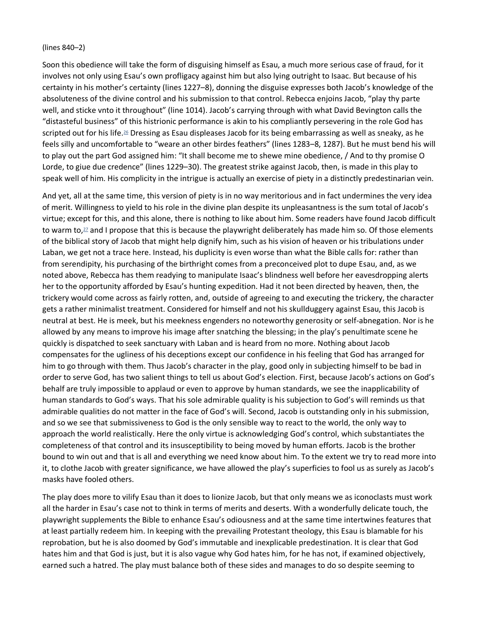#### (lines 840–2)

Soon this obedience will take the form of disguising himself as Esau, a much more serious case of fraud, for it involves not only using Esau's own profligacy against him but also lying outright to Isaac. But because of his certainty in his mother's certainty (lines 1227–8), donning the disguise expresses both Jacob's knowledge of the absoluteness of the divine control and his submission to that control. Rebecca enjoins Jacob, "play thy parte well, and sticke vnto it throughout" (line 1014). Jacob's carrying through with what David Bevington calls the "distasteful business" of this histrionic performance is akin to his compliantly persevering in the role God has scripted out for his life.<sup>26</sup> Dressing as Esau displeases Jacob for its being embarrassing as well as sneaky, as he feels silly and uncomfortable to "weare an other birdes feathers" (lines 1283–8, 1287). But he must bend his will to play out the part God assigned him: "It shall become me to shewe mine obedience, / And to thy promise O Lorde, to giue due credence" (lines 1229–30). The greatest strike against Jacob, then, is made in this play to speak well of him. His complicity in the intrigue is actually an exercise of piety in a distinctly predestinarian vein.

And yet, all at the same time, this version of piety is in no way meritorious and in fact undermines the very idea of merit. Willingness to yield to his role in the divine plan despite its unpleasantness is the sum total of Jacob's virtue; except for this, and this alone, there is nothing to like about him. Some readers have found Jacob difficult to warm to, $27$  and I propose that this is because the playwright deliberately has made him so. Of those elements of the biblical story of Jacob that might help dignify him, such as his vision of heaven or his tribulations under Laban, we get not a trace here. Instead, his duplicity is even worse than what the Bible calls for: rather than from serendipity, his purchasing of the birthright comes from a preconceived plot to dupe Esau, and, as we noted above, Rebecca has them readying to manipulate Isaac's blindness well before her eavesdropping alerts her to the opportunity afforded by Esau's hunting expedition. Had it not been directed by heaven, then, the trickery would come across as fairly rotten, and, outside of agreeing to and executing the trickery, the character gets a rather minimalist treatment. Considered for himself and not his skullduggery against Esau, this Jacob is neutral at best. He is meek, but his meekness engenders no noteworthy generosity or self-abnegation. Nor is he allowed by any means to improve his image after snatching the blessing; in the play's penultimate scene he quickly is dispatched to seek sanctuary with Laban and is heard from no more. Nothing about Jacob compensates for the ugliness of his deceptions except our confidence in his feeling that God has arranged for him to go through with them. Thus Jacob's character in the play, good only in subjecting himself to be bad in order to serve God, has two salient things to tell us about God's election. First, because Jacob's actions on God's behalf are truly impossible to applaud or even to approve by human standards, we see the inapplicability of human standards to God's ways. That his sole admirable quality is his subjection to God's will reminds us that admirable qualities do not matter in the face of God's will. Second, Jacob is outstanding only in his submission, and so we see that submissiveness to God is the only sensible way to react to the world, the only way to approach the world realistically. Here the only virtue is acknowledging God's control, which substantiates the completeness of that control and its insusceptibility to being moved by human efforts. Jacob is the brother bound to win out and that is all and everything we need know about him. To the extent we try to read more into it, to clothe Jacob with greater significance, we have allowed the play's superficies to fool us as surely as Jacob's masks have fooled others.

The play does more to vilify Esau than it does to lionize Jacob, but that only means we as iconoclasts must work all the harder in Esau's case not to think in terms of merits and deserts. With a wonderfully delicate touch, the playwright supplements the Bible to enhance Esau's odiousness and at the same time intertwines features that at least partially redeem him. In keeping with the prevailing Protestant theology, this Esau is blamable for his reprobation, but he is also doomed by God's immutable and inexplicable predestination. It is clear that God hates him and that God is just, but it is also vague why God hates him, for he has not, if examined objectively, earned such a hatred. The play must balance both of these sides and manages to do so despite seeming to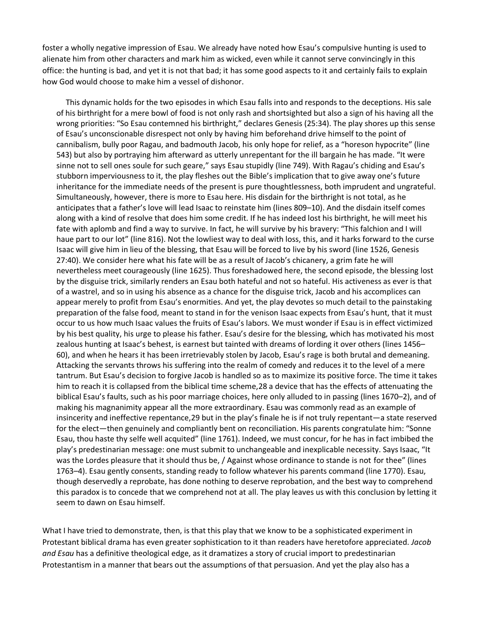foster a wholly negative impression of Esau. We already have noted how Esau's compulsive hunting is used to alienate him from other characters and mark him as wicked, even while it cannot serve convincingly in this office: the hunting is bad, and yet it is not that bad; it has some good aspects to it and certainly fails to explain how God would choose to make him a vessel of dishonor.

This dynamic holds for the two episodes in which Esau falls into and responds to the deceptions. His sale of his birthright for a mere bowl of food is not only rash and shortsighted but also a sign of his having all the wrong priorities: "So Esau contemned his birthright," declares Genesis (25:34). The play shores up this sense of Esau's unconscionable disrespect not only by having him beforehand drive himself to the point of cannibalism, bully poor Ragau, and badmouth Jacob, his only hope for relief, as a "horeson hypocrite" (line 543) but also by portraying him afterward as utterly unrepentant for the ill bargain he has made. "It were sinne not to sell ones soule for such geare," says Esau stupidly (line 749). With Ragau's chiding and Esau's stubborn imperviousness to it, the play fleshes out the Bible's implication that to give away one's future inheritance for the immediate needs of the present is pure thoughtlessness, both imprudent and ungrateful. Simultaneously, however, there is more to Esau here. His disdain for the birthright is not total, as he anticipates that a father's love will lead Isaac to reinstate him (lines 809–10). And the disdain itself comes along with a kind of resolve that does him some credit. If he has indeed lost his birthright, he will meet his fate with aplomb and find a way to survive. In fact, he will survive by his bravery: "This falchion and I will haue part to our lot" (line 816). Not the lowliest way to deal with loss, this, and it harks forward to the curse Isaac will give him in lieu of the blessing, that Esau will be forced to live by his sword (line 1526, Genesis 27:40). We consider here what his fate will be as a result of Jacob's chicanery, a grim fate he will nevertheless meet courageously (line 1625). Thus foreshadowed here, the second episode, the blessing lost by the disguise trick, similarly renders an Esau both hateful and not so hateful. His activeness as ever is that of a wastrel, and so in using his absence as a chance for the disguise trick, Jacob and his accomplices can appear merely to profit from Esau's enormities. And yet, the play devotes so much detail to the painstaking preparation of the false food, meant to stand in for the venison Isaac expects from Esau's hunt, that it must occur to us how much Isaac values the fruits of Esau's labors. We must wonder if Esau is in effect victimized by his best quality, his urge to please his father. Esau's desire for the blessing, which has motivated his most zealous hunting at Isaac's behest, is earnest but tainted with dreams of lording it over others (lines 1456– 60), and when he hears it has been irretrievably stolen by Jacob, Esau's rage is both brutal and demeaning. Attacking the servants throws his suffering into the realm of comedy and reduces it to the level of a mere tantrum. But Esau's decision to forgive Jacob is handled so as to maximize its positive force. The time it takes him to reach it is collapsed from the biblical time scheme[,28](https://muse.jhu.edu/article/265903#f28) a device that has the effects of attenuating the biblical Esau's faults, such as his poor marriage choices, here only alluded to in passing (lines 1670–2), and of making his magnanimity appear all the more extraordinary. Esau was commonly read as an example of insincerity and ineffective repentance[,29](https://muse.jhu.edu/article/265903#f29) but in the play's finale he is if not truly repentant—a state reserved for the elect—then genuinely and compliantly bent on reconciliation. His parents congratulate him: "Sonne Esau, thou haste thy selfe well acquited" (line 1761). Indeed, we must concur, for he has in fact imbibed the play's predestinarian message: one must submit to unchangeable and inexplicable necessity. Says Isaac, "It was the Lordes pleasure that it should thus be, / Against whose ordinance to stande is not for thee" (lines 1763–4). Esau gently consents, standing ready to follow whatever his parents command (line 1770). Esau, though deservedly a reprobate, has done nothing to deserve reprobation, and the best way to comprehend this paradox is to concede that we comprehend not at all. The play leaves us with this conclusion by letting it seem to dawn on Esau himself.

What I have tried to demonstrate, then, is that this play that we know to be a sophisticated experiment in Protestant biblical drama has even greater sophistication to it than readers have heretofore appreciated. *Jacob and Esau* has a definitive theological edge, as it dramatizes a story of crucial import to predestinarian Protestantism in a manner that bears out the assumptions of that persuasion. And yet the play also has a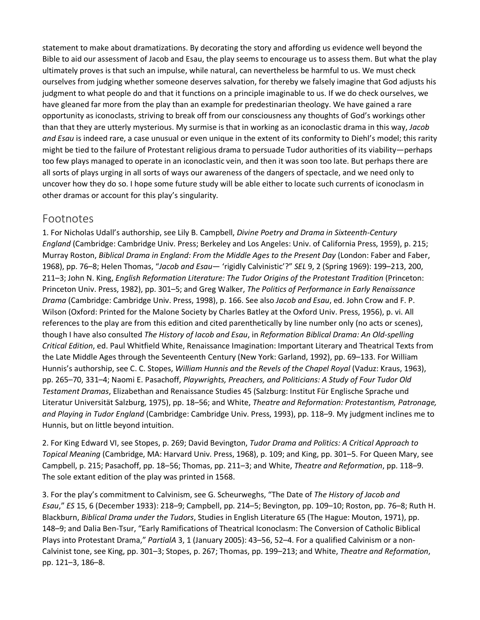statement to make about dramatizations. By decorating the story and affording us evidence well beyond the Bible to aid our assessment of Jacob and Esau, the play seems to encourage us to assess them. But what the play ultimately proves is that such an impulse, while natural, can nevertheless be harmful to us. We must check ourselves from judging whether someone deserves salvation, for thereby we falsely imagine that God adjusts his judgment to what people do and that it functions on a principle imaginable to us. If we do check ourselves, we have gleaned far more from the play than an example for predestinarian theology. We have gained a rare opportunity as iconoclasts, striving to break off from our consciousness any thoughts of God's workings other than that they are utterly mysterious. My surmise is that in working as an iconoclastic drama in this way, *Jacob and Esau* is indeed rare, a case unusual or even unique in the extent of its conformity to Diehl's model; this rarity might be tied to the failure of Protestant religious drama to persuade Tudor authorities of its viability—perhaps too few plays managed to operate in an iconoclastic vein, and then it was soon too late. But perhaps there are all sorts of plays urging in all sorts of ways our awareness of the dangers of spectacle, and we need only to uncover how they do so. I hope some future study will be able either to locate such currents of iconoclasm in other dramas or account for this play's singularity.

## Footnotes

[1.](https://muse.jhu.edu/article/265903#f1-text) For Nicholas Udall's authorship, see Lily B. Campbell, *Divine Poetry and Drama in Sixteenth-Century England* (Cambridge: Cambridge Univ. Press; Berkeley and Los Angeles: Univ. of California Press, 1959), p. 215; Murray Roston, *Biblical Drama in England: From the Middle Ages to the Present Day* (London: Faber and Faber, 1968), pp. 76–8; Helen Thomas, "*Jacob and Esau*— 'rigidly Calvinistic'?" *SEL* 9, 2 (Spring 1969): 199–213, 200, 211–3; John N. King, *English Reformation Literature: The Tudor Origins of the Protestant Tradition* (Princeton: Princeton Univ. Press, 1982), pp. 301–5; and Greg Walker, *The Politics of Performance in Early Renaissance Drama* (Cambridge: Cambridge Univ. Press, 1998), p. 166. See also *Jacob and Esau*, ed. John Crow and F. P. Wilson (Oxford: Printed for the Malone Society by Charles Batley at the Oxford Univ. Press, 1956), p. vi. All references to the play are from this edition and cited parenthetically by line number only (no acts or scenes), though I have also consulted *The History of Iacob and Esau*, in *Reformation Biblical Drama: An Old-spelling Critical Edition*, ed. Paul Whitfield White, Renaissance Imagination: Important Literary and Theatrical Texts from the Late Middle Ages through the Seventeenth Century (New York: Garland, 1992), pp. 69–133. For William Hunnis's authorship, see C. C. Stopes, *William Hunnis and the Revels of the Chapel Royal* (Vaduz: Kraus, 1963), pp. 265–70, 331–4; Naomi E. Pasachoff, *Playwrights, Preachers, and Politicians: A Study of Four Tudor Old Testament Dramas*, Elizabethan and Renaissance Studies 45 (Salzburg: Institut Für Englische Sprache und Literatur Universität Salzburg, 1975), pp. 18–56; and White, *Theatre and Reformation: Protestantism, Patronage, and Playing in Tudor England* (Cambridge: Cambridge Univ. Press, 1993), pp. 118–9. My judgment inclines me to Hunnis, but on little beyond intuition.

[2.](https://muse.jhu.edu/article/265903#f2-text) For King Edward VI, see Stopes, p. 269; David Bevington, *Tudor Drama and Politics: A Critical Approach to Topical Meaning* (Cambridge, MA: Harvard Univ. Press, 1968), p. 109; and King, pp. 301–5. For Queen Mary, see Campbell, p. 215; Pasachoff, pp. 18–56; Thomas, pp. 211–3; and White, *Theatre and Reformation*, pp. 118–9. The sole extant edition of the play was printed in 1568.

[3.](https://muse.jhu.edu/article/265903#f3-text) For the play's commitment to Calvinism, see G. Scheurweghs, "The Date of *The History of Jacob and Esau*," *ES* 15, 6 (December 1933): 218–9; Campbell, pp. 214–5; Bevington, pp. 109–10; Roston, pp. 76–8; Ruth H. Blackburn, *Biblical Drama under the Tudors*, Studies in English Literature 65 (The Hague: Mouton, 1971), pp. 148–9; and Dalia Ben-Tsur, "Early Ramifications of Theatrical Iconoclasm: The Conversion of Catholic Biblical Plays into Protestant Drama," *PartialA* 3, 1 (January 2005): 43–56, 52–4. For a qualified Calvinism or a non-Calvinist tone, see King, pp. 301–3; Stopes, p. 267; Thomas, pp. 199–213; and White, *Theatre and Reformation*, pp. 121–3, 186–8.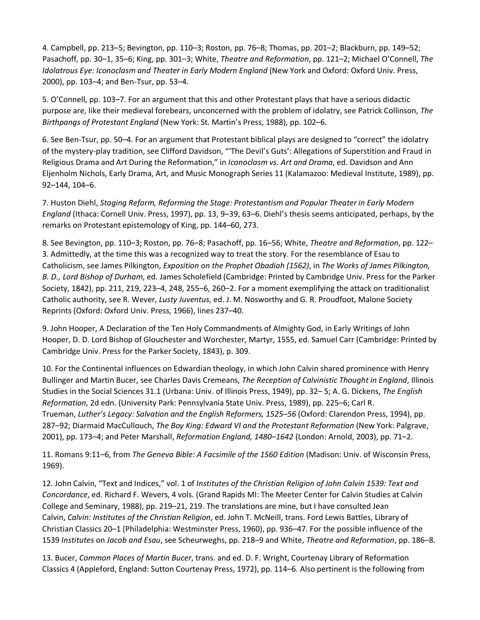[4.](https://muse.jhu.edu/article/265903#f4-text) Campbell, pp. 213–5; Bevington, pp. 110–3; Roston, pp. 76–8; Thomas, pp. 201–2; Blackburn, pp. 149–52; Pasachoff, pp. 30–1, 35–6; King, pp. 301–3; White, *Theatre and Reformation*, pp. 121–2; Michael O'Connell, *The Idolatrous Eye: Iconoclasm and Theater in Early Modern England* (New York and Oxford: Oxford Univ. Press, 2000), pp. 103–4; and Ben-Tsur, pp. 53–4.

[5.](https://muse.jhu.edu/article/265903#f5-text) O'Connell, pp. 103–7. For an argument that this and other Protestant plays that have a serious didactic purpose are, like their medieval forebears, unconcerned with the problem of idolatry, see Patrick Collinson, *The Birthpangs of Protestant England* (New York: St. Martin's Press, 1988), pp. 102–6.

[6.](https://muse.jhu.edu/article/265903#f6-text) See Ben-Tsur, pp. 50–4. For an argument that Protestant biblical plays are designed to "correct" the idolatry of the mystery-play tradition, see Clifford Davidson, "'The Devil's Guts': Allegations of Superstition and Fraud in Religious Drama and Art During the Reformation," in *Iconoclasm vs. Art and Drama*, ed. Davidson and Ann Eljenholm Nichols, Early Drama, Art, and Music Monograph Series 11 (Kalamazoo: Medieval Institute, 1989), pp. 92–144, 104–6.

[7.](https://muse.jhu.edu/article/265903#f7-text) Huston Diehl, *Staging Reform, Reforming the Stage: Protestantism and Popular Theater in Early Modern England* (Ithaca: Cornell Univ. Press, 1997), pp. 13, 9–39, 63–6. Diehl's thesis seems anticipated, perhaps, by the remarks on Protestant epistemology of King, pp. 144–60, 273.

[8.](https://muse.jhu.edu/article/265903#f8-text) See Bevington, pp. 110–3; Roston, pp. 76–8; Pasachoff, pp. 16–56; White, *Theatre and Reformation*, pp. 122– 3. Admittedly, at the time this was a recognized way to treat the story. For the resemblance of Esau to Catholicism, see James Pilkington, *Exposition on the Prophet Obadiah (1562)*, in *The Works of James Pilkington, B. D., Lord Bishop of Durham*, ed. James Scholefield (Cambridge: Printed by Cambridge Univ. Press for the Parker Society, 1842), pp. 211, 219, 223–4, 248, 255–6, 260–2. For a moment exemplifying the attack on traditionalist Catholic authority, see R. Wever, *Lusty Juventus*, ed. J. M. Nosworthy and G. R. Proudfoot, Malone Society Reprints (Oxford: Oxford Univ. Press, 1966), lines 237–40.

[9.](https://muse.jhu.edu/article/265903#f9-text) John Hooper, A Declaration of the Ten Holy Commandments of Almighty God, in Early Writings of John Hooper, D. D. Lord Bishop of Glouchester and Worchester, Martyr, 1555, ed. Samuel Carr (Cambridge: Printed by Cambridge Univ. Press for the Parker Society, 1843), p. 309.

[10.](https://muse.jhu.edu/article/265903#f10-text) For the Continental influences on Edwardian theology, in which John Calvin shared prominence with Henry Bullinger and Martin Bucer, see Charles Davis Cremeans, *The Reception of Calvinistic Thought in England*, Illinois Studies in the Social Sciences 31.1 (Urbana: Univ. of Illinois Press, 1949), pp. 32– 5; A. G. Dickens, *The English Reformation*, 2d edn. (University Park: Pennsylvania State Univ. Press, 1989), pp. 225–6; Carl R. Trueman, *Luther's Legacy: Salvation and the English Reformers, 1525–56* (Oxford: Clarendon Press, 1994), pp. 287–92; Diarmaid MacCullouch, *The Boy King: Edward VI and the Protestant Reformation* (New York: Palgrave, 2001), pp. 173–4; and Peter Marshall, *Reformation England, 1480–1642* (London: Arnold, 2003), pp. 71–2.

[11.](https://muse.jhu.edu/article/265903#f11-text) Romans 9:11–6, from *The Geneva Bible: A Facsimile of the 1560 Edition* (Madison: Univ. of Wisconsin Press, 1969).

[12.](https://muse.jhu.edu/article/265903#f12-text) John Calvin, "Text and Indices," vol. 1 of *Institutes of the Christian Religion of John Calvin 1539: Text and Concordance*, ed. Richard F. Wevers, 4 vols. (Grand Rapids MI: The Meeter Center for Calvin Studies at Calvin College and Seminary, 1988), pp. 219–21, 219. The translations are mine, but I have consulted Jean Calvin, *Calvin: Institutes of the Christian Religion*, ed. John T. McNeill, trans. Ford Lewis Battles, Library of Christian Classics 20–1 (Philadelphia: Westminster Press, 1960), pp. 936–47. For the possible influence of the 1539 *Institutes* on *Jacob and Esau*, see Scheurweghs, pp. 218–9 and White, *Theatre and Reformation*, pp. 186–8.

[13.](https://muse.jhu.edu/article/265903#f13-text) Bucer, *Common Places of Martin Bucer*, trans. and ed. D. F. Wright, Courtenay Library of Reformation Classics 4 (Appleford, England: Sutton Courtenay Press, 1972), pp. 114–6. Also pertinent is the following from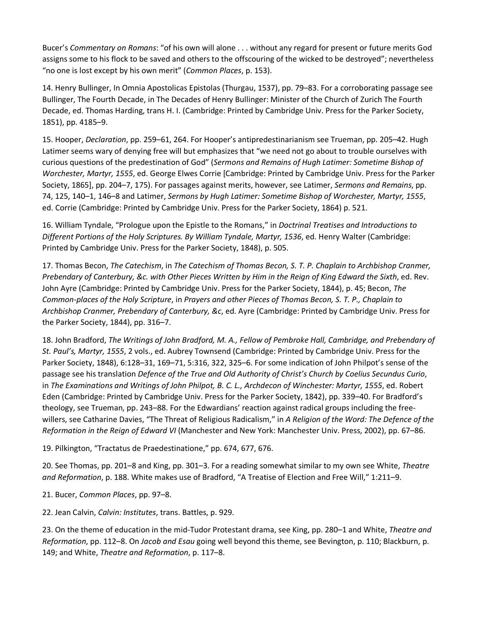Bucer's *Commentary on Romans*: "of his own will alone . . . without any regard for present or future merits God assigns some to his flock to be saved and others to the offscouring of the wicked to be destroyed"; nevertheless "no one is lost except by his own merit" (*Common Places*, p. 153).

[14.](https://muse.jhu.edu/article/265903#f14-text) Henry Bullinger, In Omnia Apostolicas Epistolas (Thurgau, 1537), pp. 79–83. For a corroborating passage see Bullinger, The Fourth Decade, in The Decades of Henry Bullinger: Minister of the Church of Zurich The Fourth Decade, ed. Thomas Harding, trans H. I. (Cambridge: Printed by Cambridge Univ. Press for the Parker Society, 1851), pp. 4185–9.

[15.](https://muse.jhu.edu/article/265903#f15-text) Hooper, *Declaration*, pp. 259–61, 264. For Hooper's antipredestinarianism see Trueman, pp. 205–42. Hugh Latimer seems wary of denying free will but emphasizes that "we need not go about to trouble ourselves with curious questions of the predestination of God" (*Sermons and Remains of Hugh Latimer: Sometime Bishop of Worchester, Martyr, 1555*, ed. George Elwes Corrie [Cambridge: Printed by Cambridge Univ. Press for the Parker Society, 1865], pp. 204–7, 175). For passages against merits, however, see Latimer, *Sermons and Remains*, pp. 74, 125, 140–1, 146–8 and Latimer, *Sermons by Hugh Latimer: Sometime Bishop of Worchester, Martyr, 1555*, ed. Corrie (Cambridge: Printed by Cambridge Univ. Press for the Parker Society, 1864) p. 521.

[16.](https://muse.jhu.edu/article/265903#f16-text) William Tyndale, "Prologue upon the Epistle to the Romans," in *Doctrinal Treatises and Introductions to Different Portions of the Holy Scriptures. By William Tyndale, Martyr, 1536*, ed. Henry Walter (Cambridge: Printed by Cambridge Univ. Press for the Parker Society, 1848), p. 505.

[17.](https://muse.jhu.edu/article/265903#f17-text) Thomas Becon, *The Catechism*, in *The Catechism of Thomas Becon, S. T. P. Chaplain to Archbishop Cranmer, Prebendary of Canterbury, &c. with Other Pieces Written by Him in the Reign of King Edward the Sixth*, ed. Rev. John Ayre (Cambridge: Printed by Cambridge Univ. Press for the Parker Society, 1844), p. 45; Becon, *The Common-places of the Holy Scripture*, in *Prayers and other Pieces of Thomas Becon, S. T. P., Chaplain to Archbishop Cranmer, Prebendary of Canterbury, &c*, ed. Ayre (Cambridge: Printed by Cambridge Univ. Press for the Parker Society, 1844), pp. 316–7.

[18.](https://muse.jhu.edu/article/265903#f18-text) John Bradford, *The Writings of John Bradford, M. A., Fellow of Pembroke Hall, Cambridge, and Prebendary of St. Paul's, Martyr, 1555*, 2 vols., ed. Aubrey Townsend (Cambridge: Printed by Cambridge Univ. Press for the Parker Society, 1848), 6:128–31, 169–71, 5:316, 322, 325–6. For some indication of John Philpot's sense of the passage see his translation *Defence of the True and Old Authority of Christ's Church by Coelius Secundus Curio*, in *The Examinations and Writings of John Philpot, B. C. L., Archdecon of Winchester: Martyr, 1555*, ed. Robert Eden (Cambridge: Printed by Cambridge Univ. Press for the Parker Society, 1842), pp. 339–40. For Bradford's theology, see Trueman, pp. 243–88. For the Edwardians' reaction against radical groups including the freewillers, see Catharine Davies, "The Threat of Religious Radicalism," in *A Religion of the Word: The Defence of the Reformation in the Reign of Edward VI* (Manchester and New York: Manchester Univ. Press, 2002), pp. 67–86.

[19.](https://muse.jhu.edu/article/265903#f19-text) Pilkington, "Tractatus de Praedestinatione," pp. 674, 677, 676.

[20.](https://muse.jhu.edu/article/265903#f20-text) See Thomas, pp. 201–8 and King, pp. 301–3. For a reading somewhat similar to my own see White, *Theatre and Reformation*, p. 188. White makes use of Bradford, "A Treatise of Election and Free Will," 1:211–9.

[21.](https://muse.jhu.edu/article/265903#f21-text) Bucer, *Common Places*, pp. 97–8.

[22.](https://muse.jhu.edu/article/265903#f22-text) Jean Calvin, *Calvin: Institutes*, trans. Battles, p. 929.

[23.](https://muse.jhu.edu/article/265903#f23-text) On the theme of education in the mid-Tudor Protestant drama, see King, pp. 280–1 and White, *Theatre and Reformation*, pp. 112–8. On *Jacob and Esau* going well beyond this theme, see Bevington, p. 110; Blackburn, p. 149; and White, *Theatre and Reformation*, p. 117–8.